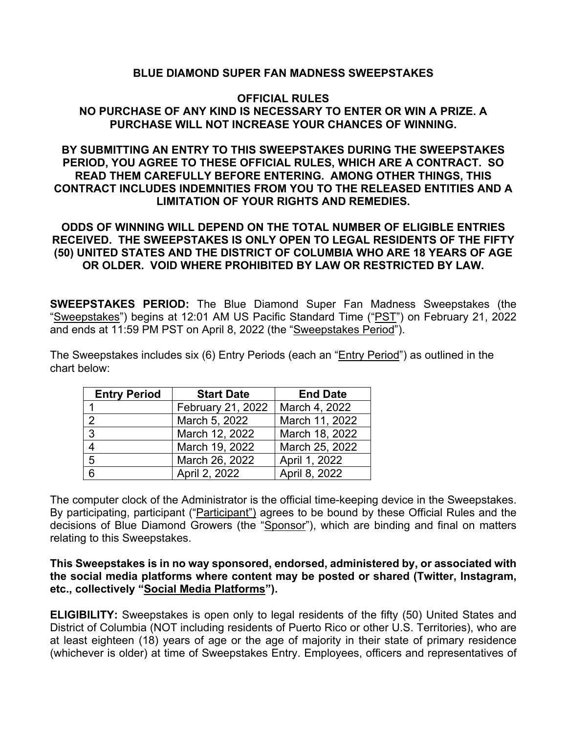## **BLUE DIAMOND SUPER FAN MADNESS SWEEPSTAKES**

### **OFFICIAL RULES NO PURCHASE OF ANY KIND IS NECESSARY TO ENTER OR WIN A PRIZE. A PURCHASE WILL NOT INCREASE YOUR CHANCES OF WINNING.**

# **BY SUBMITTING AN ENTRY TO THIS SWEEPSTAKES DURING THE SWEEPSTAKES PERIOD, YOU AGREE TO THESE OFFICIAL RULES, WHICH ARE A CONTRACT. SO READ THEM CAREFULLY BEFORE ENTERING. AMONG OTHER THINGS, THIS CONTRACT INCLUDES INDEMNITIES FROM YOU TO THE RELEASED ENTITIES AND A LIMITATION OF YOUR RIGHTS AND REMEDIES.**

# **ODDS OF WINNING WILL DEPEND ON THE TOTAL NUMBER OF ELIGIBLE ENTRIES RECEIVED. THE SWEEPSTAKES IS ONLY OPEN TO LEGAL RESIDENTS OF THE FIFTY (50) UNITED STATES AND THE DISTRICT OF COLUMBIA WHO ARE 18 YEARS OF AGE OR OLDER. VOID WHERE PROHIBITED BY LAW OR RESTRICTED BY LAW.**

**SWEEPSTAKES PERIOD:** The Blue Diamond Super Fan Madness Sweepstakes (the "Sweepstakes") begins at 12:01 AM US Pacific Standard Time ("PST") on February 21, 2022 and ends at 11:59 PM PST on April 8, 2022 (the "Sweepstakes Period").

The Sweepstakes includes six (6) Entry Periods (each an "Entry Period") as outlined in the chart below:

| <b>Entry Period</b> | <b>Start Date</b> | <b>End Date</b> |  |
|---------------------|-------------------|-----------------|--|
|                     | February 21, 2022 | March 4, 2022   |  |
|                     | March 5, 2022     | March 11, 2022  |  |
|                     | March 12, 2022    | March 18, 2022  |  |
|                     | March 19, 2022    | March 25, 2022  |  |
| 5                   | March 26, 2022    | April 1, 2022   |  |
| 6                   | April 2, 2022     | April 8, 2022   |  |

The computer clock of the Administrator is the official time-keeping device in the Sweepstakes. By participating, participant ("Participant") agrees to be bound by these Official Rules and the decisions of Blue Diamond Growers (the "Sponsor"), which are binding and final on matters relating to this Sweepstakes.

### **This Sweepstakes is in no way sponsored, endorsed, administered by, or associated with the social media platforms where content may be posted or shared (Twitter, Instagram, etc., collectively "Social Media Platforms").**

**ELIGIBILITY:** Sweepstakes is open only to legal residents of the fifty (50) United States and District of Columbia (NOT including residents of Puerto Rico or other U.S. Territories), who are at least eighteen (18) years of age or the age of majority in their state of primary residence (whichever is older) at time of Sweepstakes Entry. Employees, officers and representatives of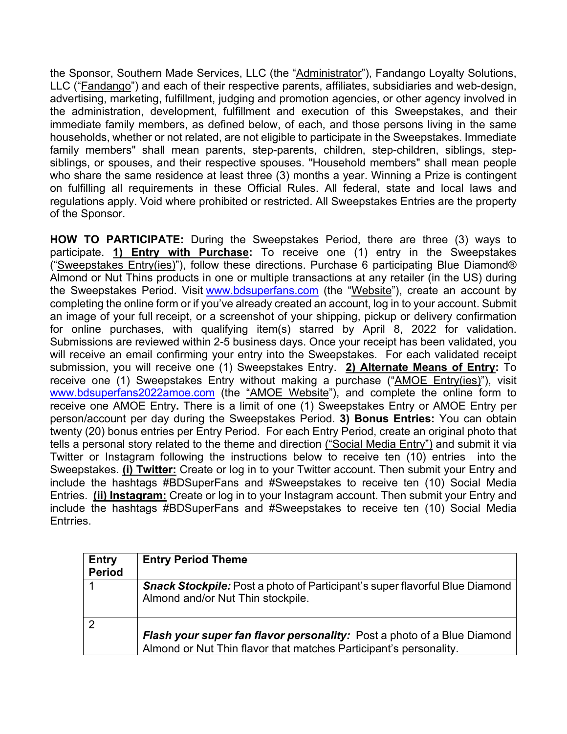the Sponsor, Southern Made Services, LLC (the "Administrator"), Fandango Loyalty Solutions, LLC ("Fandango") and each of their respective parents, affiliates, subsidiaries and web-design, advertising, marketing, fulfillment, judging and promotion agencies, or other agency involved in the administration, development, fulfillment and execution of this Sweepstakes, and their immediate family members, as defined below, of each, and those persons living in the same households, whether or not related, are not eligible to participate in the Sweepstakes. Immediate family members" shall mean parents, step-parents, children, step-children, siblings, stepsiblings, or spouses, and their respective spouses. "Household members" shall mean people who share the same residence at least three (3) months a year. Winning a Prize is contingent on fulfilling all requirements in these Official Rules. All federal, state and local laws and regulations apply. Void where prohibited or restricted. All Sweepstakes Entries are the property of the Sponsor.

**HOW TO PARTICIPATE:** During the Sweepstakes Period, there are three (3) ways to participate. **1) Entry with Purchase:** To receive one (1) entry in the Sweepstakes ("Sweepstakes Entry(ies)"), follow these directions. Purchase 6 participating Blue Diamond® Almond or Nut Thins products in one or multiple transactions at any retailer (in the US) during the Sweepstakes Period. Visit www.bdsuperfans.com (the "Website"), create an account by completing the online form or if you've already created an account, log in to your account. Submit an image of your full receipt, or a screenshot of your shipping, pickup or delivery confirmation for online purchases, with qualifying item(s) starred by April 8, 2022 for validation. Submissions are reviewed within 2-5 business days. Once your receipt has been validated, you will receive an email confirming your entry into the Sweepstakes. For each validated receipt submission, you will receive one (1) Sweepstakes Entry. **2) Alternate Means of Entry:** To receive one (1) Sweepstakes Entry without making a purchase ("AMOE Entry(ies)"), visit www.bdsuperfans2022amoe.com (the "AMOE Website"), and complete the online form to receive one AMOE Entry**.** There is a limit of one (1) Sweepstakes Entry or AMOE Entry per person/account per day during the Sweepstakes Period. **3) Bonus Entries:** You can obtain twenty (20) bonus entries per Entry Period. For each Entry Period, create an original photo that tells a personal story related to the theme and direction ("Social Media Entry") and submit it via Twitter or Instagram following the instructions below to receive ten (10) entries into the Sweepstakes. **(i) Twitter:** Create or log in to your Twitter account. Then submit your Entry and include the hashtags #BDSuperFans and #Sweepstakes to receive ten (10) Social Media Entries. **(ii) Instagram:** Create or log in to your Instagram account. Then submit your Entry and include the hashtags #BDSuperFans and #Sweepstakes to receive ten (10) Social Media Entrries.

| <b>Entry</b><br><b>Period</b> | <b>Entry Period Theme</b>                                                                                                                           |
|-------------------------------|-----------------------------------------------------------------------------------------------------------------------------------------------------|
|                               | <b>Snack Stockpile:</b> Post a photo of Participant's super flavorful Blue Diamond<br>Almond and/or Nut Thin stockpile.                             |
|                               | <b>Flash your super fan flavor personality:</b> Post a photo of a Blue Diamond<br>Almond or Nut Thin flavor that matches Participant's personality. |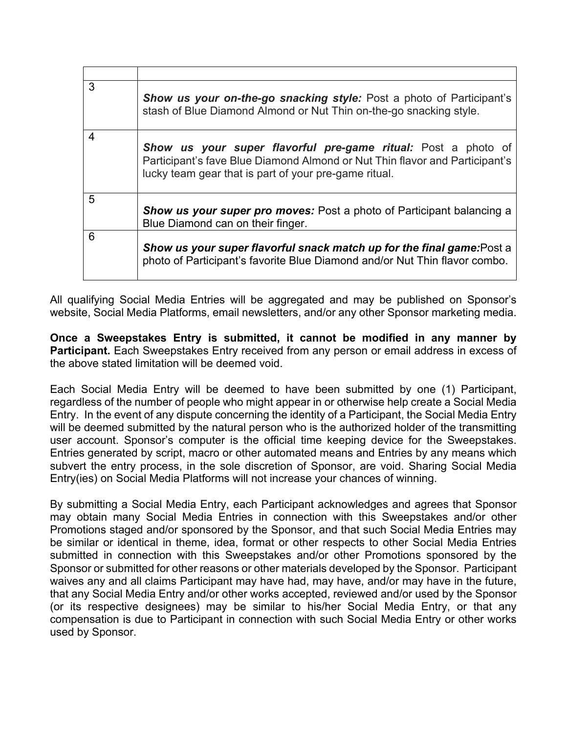| 3 | <b>Show us your on-the-go snacking style:</b> Post a photo of Participant's<br>stash of Blue Diamond Almond or Nut Thin on-the-go snacking style.                                                            |
|---|--------------------------------------------------------------------------------------------------------------------------------------------------------------------------------------------------------------|
| 4 | <b>Show us your super flavorful pre-game ritual:</b> Post a photo of<br>Participant's fave Blue Diamond Almond or Nut Thin flavor and Participant's<br>lucky team gear that is part of your pre-game ritual. |
| 5 | <b>Show us your super pro moves:</b> Post a photo of Participant balancing a<br>Blue Diamond can on their finger.                                                                                            |
| 6 | Show us your super flavorful snack match up for the final game: Post a<br>photo of Participant's favorite Blue Diamond and/or Nut Thin flavor combo.                                                         |

All qualifying Social Media Entries will be aggregated and may be published on Sponsor's website, Social Media Platforms, email newsletters, and/or any other Sponsor marketing media.

**Once a Sweepstakes Entry is submitted, it cannot be modified in any manner by Participant.** Each Sweepstakes Entry received from any person or email address in excess of the above stated limitation will be deemed void.

Each Social Media Entry will be deemed to have been submitted by one (1) Participant, regardless of the number of people who might appear in or otherwise help create a Social Media Entry. In the event of any dispute concerning the identity of a Participant, the Social Media Entry will be deemed submitted by the natural person who is the authorized holder of the transmitting user account. Sponsor's computer is the official time keeping device for the Sweepstakes. Entries generated by script, macro or other automated means and Entries by any means which subvert the entry process, in the sole discretion of Sponsor, are void. Sharing Social Media Entry(ies) on Social Media Platforms will not increase your chances of winning.

By submitting a Social Media Entry, each Participant acknowledges and agrees that Sponsor may obtain many Social Media Entries in connection with this Sweepstakes and/or other Promotions staged and/or sponsored by the Sponsor, and that such Social Media Entries may be similar or identical in theme, idea, format or other respects to other Social Media Entries submitted in connection with this Sweepstakes and/or other Promotions sponsored by the Sponsor or submitted for other reasons or other materials developed by the Sponsor. Participant waives any and all claims Participant may have had, may have, and/or may have in the future, that any Social Media Entry and/or other works accepted, reviewed and/or used by the Sponsor (or its respective designees) may be similar to his/her Social Media Entry, or that any compensation is due to Participant in connection with such Social Media Entry or other works used by Sponsor.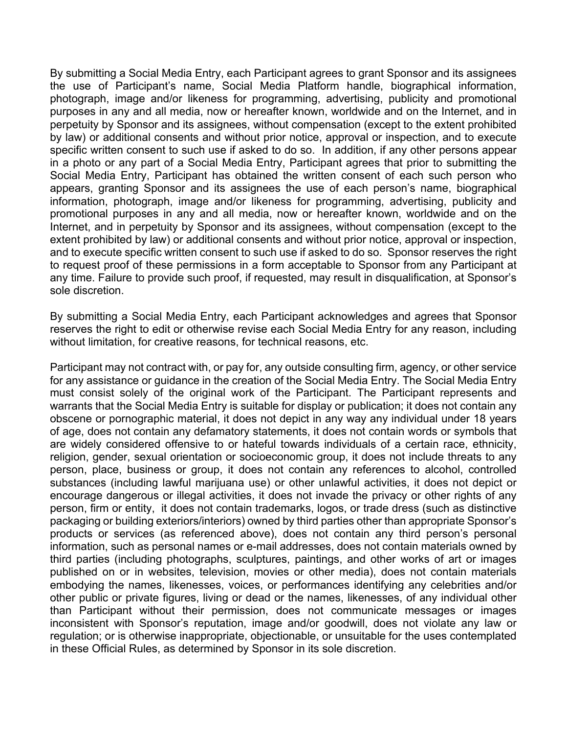By submitting a Social Media Entry, each Participant agrees to grant Sponsor and its assignees the use of Participant's name, Social Media Platform handle, biographical information, photograph, image and/or likeness for programming, advertising, publicity and promotional purposes in any and all media, now or hereafter known, worldwide and on the Internet, and in perpetuity by Sponsor and its assignees, without compensation (except to the extent prohibited by law) or additional consents and without prior notice, approval or inspection, and to execute specific written consent to such use if asked to do so. In addition, if any other persons appear in a photo or any part of a Social Media Entry, Participant agrees that prior to submitting the Social Media Entry, Participant has obtained the written consent of each such person who appears, granting Sponsor and its assignees the use of each person's name, biographical information, photograph, image and/or likeness for programming, advertising, publicity and promotional purposes in any and all media, now or hereafter known, worldwide and on the Internet, and in perpetuity by Sponsor and its assignees, without compensation (except to the extent prohibited by law) or additional consents and without prior notice, approval or inspection, and to execute specific written consent to such use if asked to do so. Sponsor reserves the right to request proof of these permissions in a form acceptable to Sponsor from any Participant at any time. Failure to provide such proof, if requested, may result in disqualification, at Sponsor's sole discretion.

By submitting a Social Media Entry, each Participant acknowledges and agrees that Sponsor reserves the right to edit or otherwise revise each Social Media Entry for any reason, including without limitation, for creative reasons, for technical reasons, etc.

Participant may not contract with, or pay for, any outside consulting firm, agency, or other service for any assistance or guidance in the creation of the Social Media Entry. The Social Media Entry must consist solely of the original work of the Participant. The Participant represents and warrants that the Social Media Entry is suitable for display or publication; it does not contain any obscene or pornographic material, it does not depict in any way any individual under 18 years of age, does not contain any defamatory statements, it does not contain words or symbols that are widely considered offensive to or hateful towards individuals of a certain race, ethnicity, religion, gender, sexual orientation or socioeconomic group, it does not include threats to any person, place, business or group, it does not contain any references to alcohol, controlled substances (including lawful marijuana use) or other unlawful activities, it does not depict or encourage dangerous or illegal activities, it does not invade the privacy or other rights of any person, firm or entity, it does not contain trademarks, logos, or trade dress (such as distinctive packaging or building exteriors/interiors) owned by third parties other than appropriate Sponsor's products or services (as referenced above), does not contain any third person's personal information, such as personal names or e-mail addresses, does not contain materials owned by third parties (including photographs, sculptures, paintings, and other works of art or images published on or in websites, television, movies or other media), does not contain materials embodying the names, likenesses, voices, or performances identifying any celebrities and/or other public or private figures, living or dead or the names, likenesses, of any individual other than Participant without their permission, does not communicate messages or images inconsistent with Sponsor's reputation, image and/or goodwill, does not violate any law or regulation; or is otherwise inappropriate, objectionable, or unsuitable for the uses contemplated in these Official Rules, as determined by Sponsor in its sole discretion.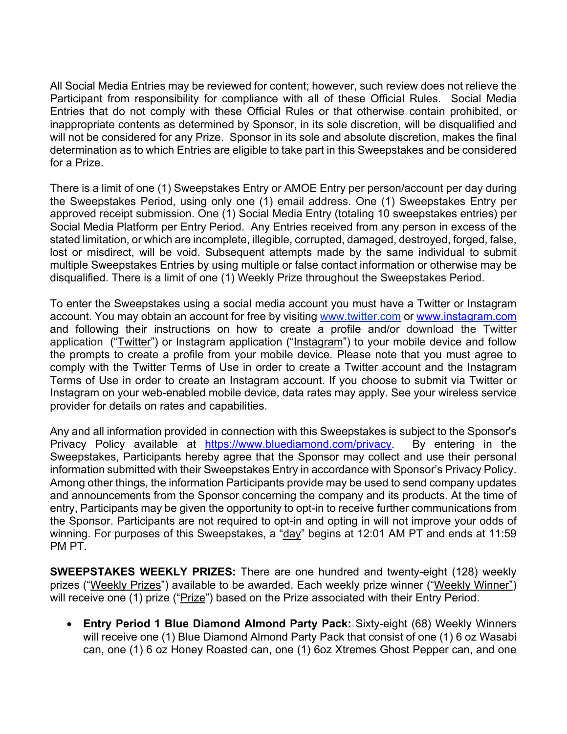All Social Media Entries may be reviewed for content; however, such review does not relieve the Participant from responsibility for compliance with all of these Official Rules. Social Media Entries that do not comply with these Official Rules or that otherwise contain prohibited, or inappropriate contents as determined by Sponsor, in its sole discretion, will be disqualified and will not be considered for any Prize. Sponsor in its sole and absolute discretion, makes the final determination as to which Entries are eligible to take part in this Sweepstakes and be considered for a Prize.

There is a limit of one (1) Sweepstakes Entry or AMOE Entry per person/account per day during the Sweepstakes Period, using only one (1) email address. One (1) Sweepstakes Entry per approved receipt submission. One (1) Social Media Entry (totaling 10 sweepstakes entries) per Social Media Platform per Entry Period. Any Entries received from any person in excess of the stated limitation, or which are incomplete, illegible, corrupted, damaged, destroyed, forged, false, lost or misdirect, will be void. Subsequent attempts made by the same individual to submit multiple Sweepstakes Entries by using multiple or false contact information or otherwise may be disqualified. There is a limit of one (1) Weekly Prize throughout the Sweepstakes Period.

To enter the Sweepstakes using a social media account you must have a Twitter or Instagram account. You may obtain an account for free by visiting www.twitter.com or www.instagram.com and following their instructions on how to create a profile and/or download the Twitter application ("Twitter") or Instagram application ("Instagram") to your mobile device and follow the prompts to create a profile from your mobile device. Please note that you must agree to comply with the Twitter Terms of Use in order to create a Twitter account and the Instagram Terms of Use in order to create an Instagram account. If you choose to submit via Twitter or Instagram on your web-enabled mobile device, data rates may apply. See your wireless service provider for details on rates and capabilities.

Any and all information provided in connection with this Sweepstakes is subject to the Sponsor's Privacy Policy available at https://www.bluediamond.com/privacy. By entering in the Sweepstakes, Participants hereby agree that the Sponsor may collect and use their personal information submitted with their Sweepstakes Entry in accordance with Sponsor's Privacy Policy. Among other things, the information Participants provide may be used to send company updates and announcements from the Sponsor concerning the company and its products. At the time of entry, Participants may be given the opportunity to opt-in to receive further communications from the Sponsor. Participants are not required to opt-in and opting in will not improve your odds of winning. For purposes of this Sweepstakes, a "day" begins at 12:01 AM PT and ends at 11:59 PM PT.

**SWEEPSTAKES WEEKLY PRIZES:** There are one hundred and twenty-eight (128) weekly prizes ("Weekly Prizes") available to be awarded. Each weekly prize winner ("Weekly Winner") will receive one (1) prize ("Prize") based on the Prize associated with their Entry Period.

• **Entry Period 1 Blue Diamond Almond Party Pack:** Sixty-eight (68) Weekly Winners will receive one (1) Blue Diamond Almond Party Pack that consist of one (1) 6 oz Wasabi can, one (1) 6 oz Honey Roasted can, one (1) 6oz Xtremes Ghost Pepper can, and one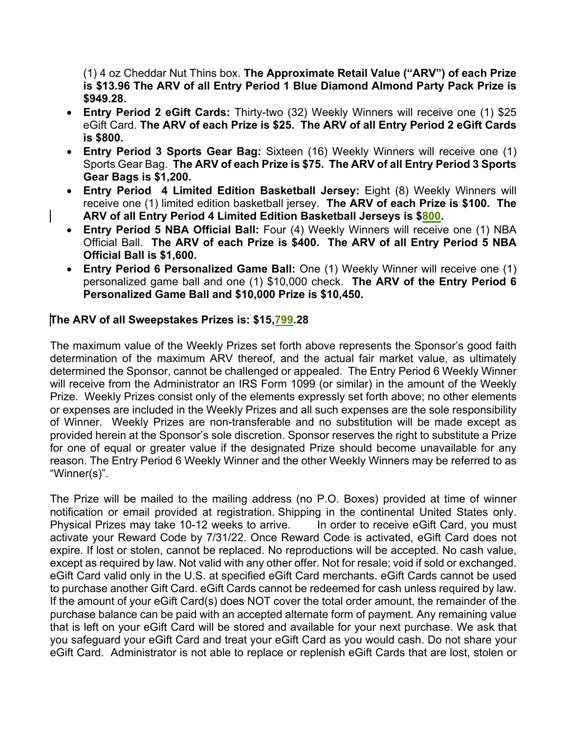(1) 4 oz Cheddar Nut Thins box. **The Approximate Retail Value ("ARV") of each Prize is \$13.96 The ARV of all Entry Period 1 Blue Diamond Almond Party Pack Prize is \$949.28.**

- **Entry Period 2 eGift Cards:** Thirty-two (32) Weekly Winners will receive one (1) \$25 eGift Card. **The ARV of each Prize is \$25. The ARV of all Entry Period 2 eGift Cards is \$800.**
- **Entry Period 3 Sports Gear Bag:** Sixteen (16) Weekly Winners will receive one (1) Sports Gear Bag. **The ARV of each Prize is \$75. The ARV of all Entry Period 3 Sports Gear Bags is \$1,200.**
- **Entry Period 4 Limited Edition Basketball Jersey:** Eight (8) Weekly Winners will receive one (1) limited edition basketball jersey. **The ARV of each Prize is \$100. The ARV of all Entry Period 4 Limited Edition Basketball Jerseys is \$800.**
- **Entry Period 5 NBA Official Ball:** Four (4) Weekly Winners will receive one (1) NBA Official Ball. **The ARV of each Prize is \$400. The ARV of all Entry Period 5 NBA Official Ball is \$1,600.**
- **Entry Period 6 Personalized Game Ball:** One (1) Weekly Winner will receive one (1) personalized game ball and one (1) \$10,000 check. **The ARV of the Entry Period 6 Personalized Game Ball and \$10,000 Prize is \$10,450.**

# **The ARV of all Sweepstakes Prizes is: \$15,799.28**

The maximum value of the Weekly Prizes set forth above represents the Sponsor's good faith determination of the maximum ARV thereof, and the actual fair market value, as ultimately determined the Sponsor, cannot be challenged or appealed. The Entry Period 6 Weekly Winner will receive from the Administrator an IRS Form 1099 (or similar) in the amount of the Weekly Prize. Weekly Prizes consist only of the elements expressly set forth above; no other elements or expenses are included in the Weekly Prizes and all such expenses are the sole responsibility of Winner. Weekly Prizes are non-transferable and no substitution will be made except as provided herein at the Sponsor's sole discretion. Sponsor reserves the right to substitute a Prize for one of equal or greater value if the designated Prize should become unavailable for any reason. The Entry Period 6 Weekly Winner and the other Weekly Winners may be referred to as "Winner(s)".

The Prize will be mailed to the mailing address (no P.O. Boxes) provided at time of winner notification or email provided at registration. Shipping in the continental United States only. Physical Prizes may take 10-12 weeks to arrive. In order to receive eGift Card, you must activate your Reward Code by 7/31/22. Once Reward Code is activated, eGift Card does not expire. If lost or stolen, cannot be replaced. No reproductions will be accepted. No cash value, except as required by law. Not valid with any other offer. Not for resale; void if sold or exchanged. eGift Card valid only in the U.S. at specified eGift Card merchants. eGift Cards cannot be used to purchase another Gift Card. eGift Cards cannot be redeemed for cash unless required by law. If the amount of your eGift Card(s) does NOT cover the total order amount, the remainder of the purchase balance can be paid with an accepted alternate form of payment. Any remaining value that is left on your eGift Card will be stored and available for your next purchase. We ask that you safeguard your eGift Card and treat your eGift Card as you would cash. Do not share your eGift Card. Administrator is not able to replace or replenish eGift Cards that are lost, stolen or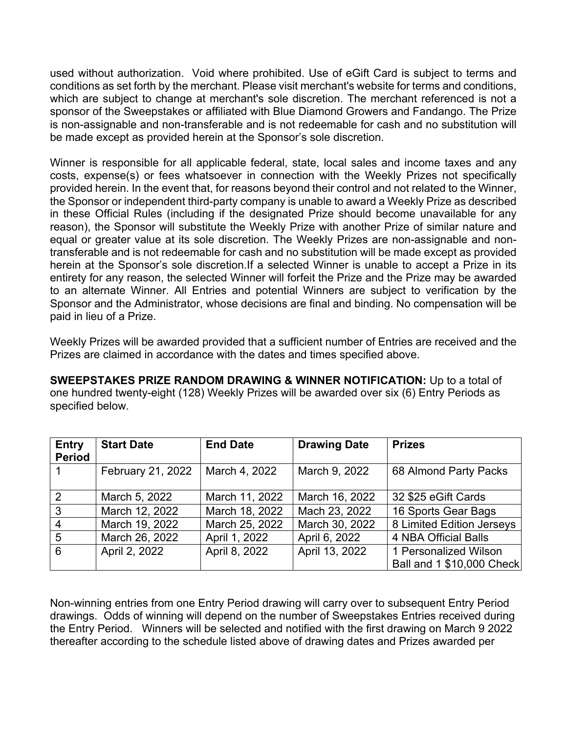used without authorization. Void where prohibited. Use of eGift Card is subject to terms and conditions as set forth by the merchant. Please visit merchant's website for terms and conditions, which are subject to change at merchant's sole discretion. The merchant referenced is not a sponsor of the Sweepstakes or affiliated with Blue Diamond Growers and Fandango. The Prize is non-assignable and non-transferable and is not redeemable for cash and no substitution will be made except as provided herein at the Sponsor's sole discretion.

Winner is responsible for all applicable federal, state, local sales and income taxes and any costs, expense(s) or fees whatsoever in connection with the Weekly Prizes not specifically provided herein. In the event that, for reasons beyond their control and not related to the Winner, the Sponsor or independent third-party company is unable to award a Weekly Prize as described in these Official Rules (including if the designated Prize should become unavailable for any reason), the Sponsor will substitute the Weekly Prize with another Prize of similar nature and equal or greater value at its sole discretion. The Weekly Prizes are non-assignable and nontransferable and is not redeemable for cash and no substitution will be made except as provided herein at the Sponsor's sole discretion.If a selected Winner is unable to accept a Prize in its entirety for any reason, the selected Winner will forfeit the Prize and the Prize may be awarded to an alternate Winner. All Entries and potential Winners are subject to verification by the Sponsor and the Administrator, whose decisions are final and binding. No compensation will be paid in lieu of a Prize.

Weekly Prizes will be awarded provided that a sufficient number of Entries are received and the Prizes are claimed in accordance with the dates and times specified above.

**SWEEPSTAKES PRIZE RANDOM DRAWING & WINNER NOTIFICATION:** Up to a total of one hundred twenty-eight (128) Weekly Prizes will be awarded over six (6) Entry Periods as specified below.

| <b>Entry</b><br><b>Period</b> | <b>Start Date</b> | <b>End Date</b> | <b>Drawing Date</b> | <b>Prizes</b>               |
|-------------------------------|-------------------|-----------------|---------------------|-----------------------------|
| 1                             | February 21, 2022 | March 4, 2022   | March 9, 2022       | 68 Almond Party Packs       |
| $\overline{2}$                | March 5, 2022     | March 11, 2022  | March 16, 2022      | 32 \$25 eGift Cards         |
| $\mathbf{3}$                  | March 12, 2022    | March 18, 2022  | Mach 23, 2022       | 16 Sports Gear Bags         |
| $\overline{4}$                | March 19, 2022    | March 25, 2022  | March 30, 2022      | 8 Limited Edition Jerseys   |
| $5\overline{5}$               | March 26, 2022    | April 1, 2022   | April 6, 2022       | <b>4 NBA Official Balls</b> |
| 6                             | April 2, 2022     | April 8, 2022   | April 13, 2022      | 1 Personalized Wilson       |
|                               |                   |                 |                     | Ball and 1 \$10,000 Check   |

Non-winning entries from one Entry Period drawing will carry over to subsequent Entry Period drawings. Odds of winning will depend on the number of Sweepstakes Entries received during the Entry Period. Winners will be selected and notified with the first drawing on March 9 2022 thereafter according to the schedule listed above of drawing dates and Prizes awarded per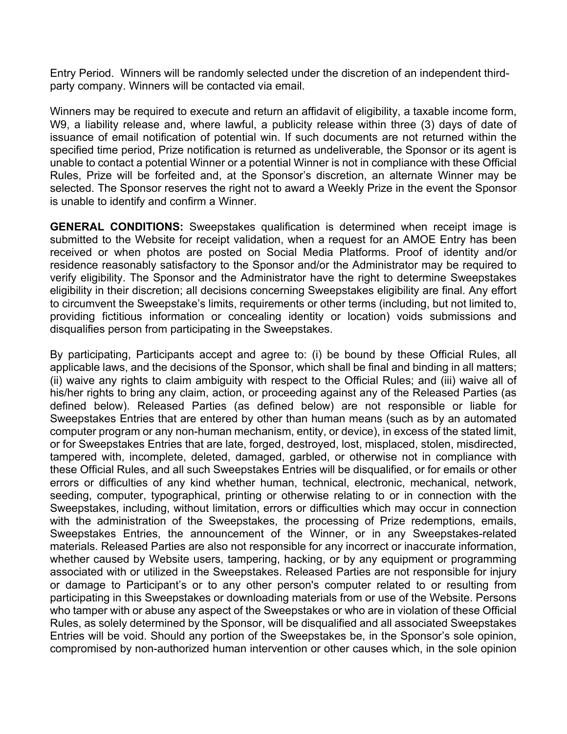Entry Period. Winners will be randomly selected under the discretion of an independent thirdparty company. Winners will be contacted via email.

Winners may be required to execute and return an affidavit of eligibility, a taxable income form, W9, a liability release and, where lawful, a publicity release within three (3) days of date of issuance of email notification of potential win. If such documents are not returned within the specified time period, Prize notification is returned as undeliverable, the Sponsor or its agent is unable to contact a potential Winner or a potential Winner is not in compliance with these Official Rules, Prize will be forfeited and, at the Sponsor's discretion, an alternate Winner may be selected. The Sponsor reserves the right not to award a Weekly Prize in the event the Sponsor is unable to identify and confirm a Winner.

**GENERAL CONDITIONS:** Sweepstakes qualification is determined when receipt image is submitted to the Website for receipt validation, when a request for an AMOE Entry has been received or when photos are posted on Social Media Platforms. Proof of identity and/or residence reasonably satisfactory to the Sponsor and/or the Administrator may be required to verify eligibility. The Sponsor and the Administrator have the right to determine Sweepstakes eligibility in their discretion; all decisions concerning Sweepstakes eligibility are final. Any effort to circumvent the Sweepstake's limits, requirements or other terms (including, but not limited to, providing fictitious information or concealing identity or location) voids submissions and disqualifies person from participating in the Sweepstakes.

By participating, Participants accept and agree to: (i) be bound by these Official Rules, all applicable laws, and the decisions of the Sponsor, which shall be final and binding in all matters; (ii) waive any rights to claim ambiguity with respect to the Official Rules; and (iii) waive all of his/her rights to bring any claim, action, or proceeding against any of the Released Parties (as defined below). Released Parties (as defined below) are not responsible or liable for Sweepstakes Entries that are entered by other than human means (such as by an automated computer program or any non-human mechanism, entity, or device), in excess of the stated limit, or for Sweepstakes Entries that are late, forged, destroyed, lost, misplaced, stolen, misdirected, tampered with, incomplete, deleted, damaged, garbled, or otherwise not in compliance with these Official Rules, and all such Sweepstakes Entries will be disqualified, or for emails or other errors or difficulties of any kind whether human, technical, electronic, mechanical, network, seeding, computer, typographical, printing or otherwise relating to or in connection with the Sweepstakes, including, without limitation, errors or difficulties which may occur in connection with the administration of the Sweepstakes, the processing of Prize redemptions, emails, Sweepstakes Entries, the announcement of the Winner, or in any Sweepstakes-related materials. Released Parties are also not responsible for any incorrect or inaccurate information, whether caused by Website users, tampering, hacking, or by any equipment or programming associated with or utilized in the Sweepstakes. Released Parties are not responsible for injury or damage to Participant's or to any other person's computer related to or resulting from participating in this Sweepstakes or downloading materials from or use of the Website. Persons who tamper with or abuse any aspect of the Sweepstakes or who are in violation of these Official Rules, as solely determined by the Sponsor, will be disqualified and all associated Sweepstakes Entries will be void. Should any portion of the Sweepstakes be, in the Sponsor's sole opinion, compromised by non-authorized human intervention or other causes which, in the sole opinion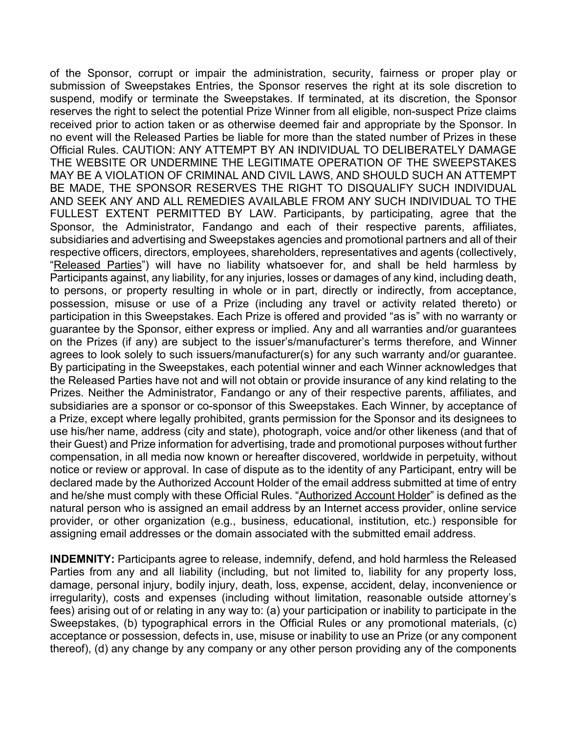of the Sponsor, corrupt or impair the administration, security, fairness or proper play or submission of Sweepstakes Entries, the Sponsor reserves the right at its sole discretion to suspend, modify or terminate the Sweepstakes. If terminated, at its discretion, the Sponsor reserves the right to select the potential Prize Winner from all eligible, non-suspect Prize claims received prior to action taken or as otherwise deemed fair and appropriate by the Sponsor. In no event will the Released Parties be liable for more than the stated number of Prizes in these Official Rules. CAUTION: ANY ATTEMPT BY AN INDIVIDUAL TO DELIBERATELY DAMAGE THE WEBSITE OR UNDERMINE THE LEGITIMATE OPERATION OF THE SWEEPSTAKES MAY BE A VIOLATION OF CRIMINAL AND CIVIL LAWS, AND SHOULD SUCH AN ATTEMPT BE MADE, THE SPONSOR RESERVES THE RIGHT TO DISQUALIFY SUCH INDIVIDUAL AND SEEK ANY AND ALL REMEDIES AVAILABLE FROM ANY SUCH INDIVIDUAL TO THE FULLEST EXTENT PERMITTED BY LAW. Participants, by participating, agree that the Sponsor, the Administrator, Fandango and each of their respective parents, affiliates, subsidiaries and advertising and Sweepstakes agencies and promotional partners and all of their respective officers, directors, employees, shareholders, representatives and agents (collectively, "Released Parties") will have no liability whatsoever for, and shall be held harmless by Participants against, any liability, for any injuries, losses or damages of any kind, including death, to persons, or property resulting in whole or in part, directly or indirectly, from acceptance, possession, misuse or use of a Prize (including any travel or activity related thereto) or participation in this Sweepstakes. Each Prize is offered and provided "as is" with no warranty or guarantee by the Sponsor, either express or implied. Any and all warranties and/or guarantees on the Prizes (if any) are subject to the issuer's/manufacturer's terms therefore, and Winner agrees to look solely to such issuers/manufacturer(s) for any such warranty and/or guarantee. By participating in the Sweepstakes, each potential winner and each Winner acknowledges that the Released Parties have not and will not obtain or provide insurance of any kind relating to the Prizes. Neither the Administrator, Fandango or any of their respective parents, affiliates, and subsidiaries are a sponsor or co-sponsor of this Sweepstakes. Each Winner, by acceptance of a Prize, except where legally prohibited, grants permission for the Sponsor and its designees to use his/her name, address (city and state), photograph, voice and/or other likeness (and that of their Guest) and Prize information for advertising, trade and promotional purposes without further compensation, in all media now known or hereafter discovered, worldwide in perpetuity, without notice or review or approval. In case of dispute as to the identity of any Participant, entry will be declared made by the Authorized Account Holder of the email address submitted at time of entry and he/she must comply with these Official Rules. "Authorized Account Holder" is defined as the natural person who is assigned an email address by an Internet access provider, online service provider, or other organization (e.g., business, educational, institution, etc.) responsible for assigning email addresses or the domain associated with the submitted email address.

**INDEMNITY:** Participants agree to release, indemnify, defend, and hold harmless the Released Parties from any and all liability (including, but not limited to, liability for any property loss, damage, personal injury, bodily injury, death, loss, expense, accident, delay, inconvenience or irregularity), costs and expenses (including without limitation, reasonable outside attorney's fees) arising out of or relating in any way to: (a) your participation or inability to participate in the Sweepstakes, (b) typographical errors in the Official Rules or any promotional materials, (c) acceptance or possession, defects in, use, misuse or inability to use an Prize (or any component thereof), (d) any change by any company or any other person providing any of the components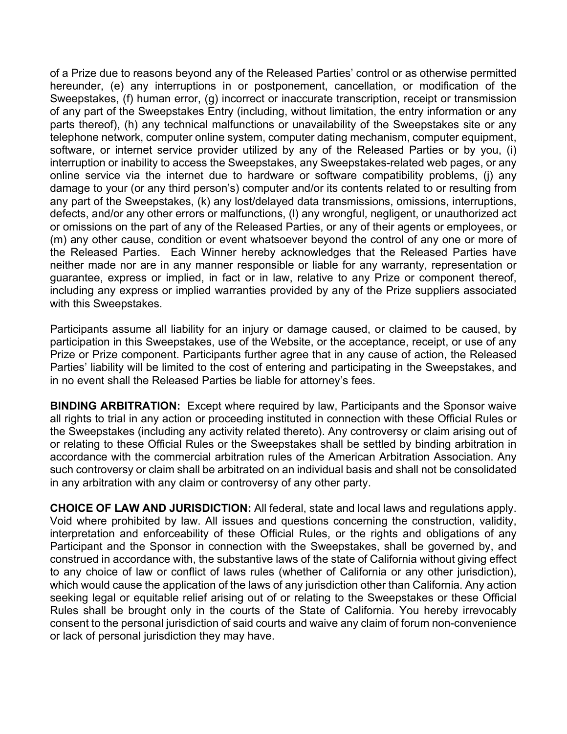of a Prize due to reasons beyond any of the Released Parties' control or as otherwise permitted hereunder, (e) any interruptions in or postponement, cancellation, or modification of the Sweepstakes, (f) human error, (g) incorrect or inaccurate transcription, receipt or transmission of any part of the Sweepstakes Entry (including, without limitation, the entry information or any parts thereof), (h) any technical malfunctions or unavailability of the Sweepstakes site or any telephone network, computer online system, computer dating mechanism, computer equipment, software, or internet service provider utilized by any of the Released Parties or by you, (i) interruption or inability to access the Sweepstakes, any Sweepstakes-related web pages, or any online service via the internet due to hardware or software compatibility problems, (j) any damage to your (or any third person's) computer and/or its contents related to or resulting from any part of the Sweepstakes, (k) any lost/delayed data transmissions, omissions, interruptions, defects, and/or any other errors or malfunctions, (l) any wrongful, negligent, or unauthorized act or omissions on the part of any of the Released Parties, or any of their agents or employees, or (m) any other cause, condition or event whatsoever beyond the control of any one or more of the Released Parties. Each Winner hereby acknowledges that the Released Parties have neither made nor are in any manner responsible or liable for any warranty, representation or guarantee, express or implied, in fact or in law, relative to any Prize or component thereof, including any express or implied warranties provided by any of the Prize suppliers associated with this Sweepstakes.

Participants assume all liability for an injury or damage caused, or claimed to be caused, by participation in this Sweepstakes, use of the Website, or the acceptance, receipt, or use of any Prize or Prize component. Participants further agree that in any cause of action, the Released Parties' liability will be limited to the cost of entering and participating in the Sweepstakes, and in no event shall the Released Parties be liable for attorney's fees.

**BINDING ARBITRATION:** Except where required by law, Participants and the Sponsor waive all rights to trial in any action or proceeding instituted in connection with these Official Rules or the Sweepstakes (including any activity related thereto). Any controversy or claim arising out of or relating to these Official Rules or the Sweepstakes shall be settled by binding arbitration in accordance with the commercial arbitration rules of the American Arbitration Association. Any such controversy or claim shall be arbitrated on an individual basis and shall not be consolidated in any arbitration with any claim or controversy of any other party.

**CHOICE OF LAW AND JURISDICTION:** All federal, state and local laws and regulations apply. Void where prohibited by law. All issues and questions concerning the construction, validity, interpretation and enforceability of these Official Rules, or the rights and obligations of any Participant and the Sponsor in connection with the Sweepstakes, shall be governed by, and construed in accordance with, the substantive laws of the state of California without giving effect to any choice of law or conflict of laws rules (whether of California or any other jurisdiction), which would cause the application of the laws of any jurisdiction other than California. Any action seeking legal or equitable relief arising out of or relating to the Sweepstakes or these Official Rules shall be brought only in the courts of the State of California. You hereby irrevocably consent to the personal jurisdiction of said courts and waive any claim of forum non-convenience or lack of personal jurisdiction they may have.